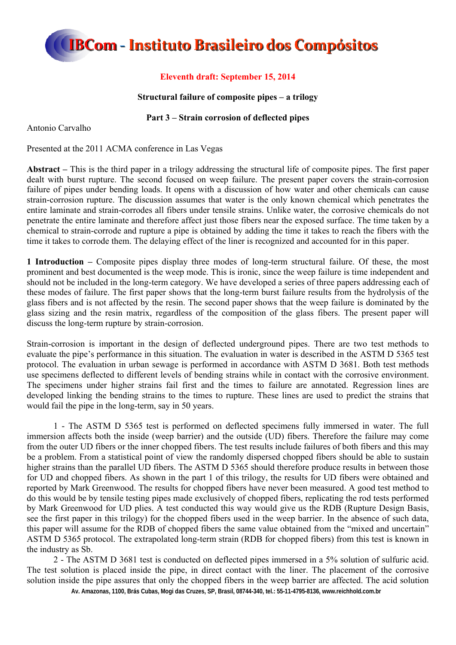### **Eleventh draft: September 15, 2014**

### **Structural failure of composite pipes – a trilogy**

### **Part 3 – Strain corrosion of deflected pipes**

Antonio Carvalho

Presented at the 2011 ACMA conference in Las Vegas

**Abstract –** This is the third paper in a trilogy addressing the structural life of composite pipes. The first paper dealt with burst rupture. The second focused on weep failure. The present paper covers the strain-corrosion failure of pipes under bending loads. It opens with a discussion of how water and other chemicals can cause strain-corrosion rupture. The discussion assumes that water is the only known chemical which penetrates the entire laminate and strain-corrodes all fibers under tensile strains. Unlike water, the corrosive chemicals do not penetrate the entire laminate and therefore affect just those fibers near the exposed surface. The time taken by a chemical to strain-corrode and rupture a pipe is obtained by adding the time it takes to reach the fibers with the time it takes to corrode them. The delaying effect of the liner is recognized and accounted for in this paper.

**1 Introduction –** Composite pipes display three modes of long-term structural failure. Of these, the most prominent and best documented is the weep mode. This is ironic, since the weep failure is time independent and should not be included in the long-term category. We have developed a series of three papers addressing each of these modes of failure. The first paper shows that the long-term burst failure results from the hydrolysis of the glass fibers and is not affected by the resin. The second paper shows that the weep failure is dominated by the glass sizing and the resin matrix, regardless of the composition of the glass fibers. The present paper will discuss the long-term rupture by strain-corrosion.

Strain-corrosion is important in the design of deflected underground pipes. There are two test methods to evaluate the pipe's performance in this situation. The evaluation in water is described in the ASTM D 5365 test protocol. The evaluation in urban sewage is performed in accordance with ASTM D 3681. Both test methods use specimens deflected to different levels of bending strains while in contact with the corrosive environment. The specimens under higher strains fail first and the times to failure are annotated. Regression lines are developed linking the bending strains to the times to rupture. These lines are used to predict the strains that would fail the pipe in the long-term, say in 50 years.

1 - The ASTM D 5365 test is performed on deflected specimens fully immersed in water. The full immersion affects both the inside (weep barrier) and the outside (UD) fibers. Therefore the failure may come from the outer UD fibers or the inner chopped fibers. The test results include failures of both fibers and this may be a problem. From a statistical point of view the randomly dispersed chopped fibers should be able to sustain higher strains than the parallel UD fibers. The ASTM D 5365 should therefore produce results in between those for UD and chopped fibers. As shown in the part 1 of this trilogy, the results for UD fibers were obtained and reported by Mark Greenwood. The results for chopped fibers have never been measured. A good test method to do this would be by tensile testing pipes made exclusively of chopped fibers, replicating the rod tests performed by Mark Greenwood for UD plies. A test conducted this way would give us the RDB (Rupture Design Basis, see the first paper in this trilogy) for the chopped fibers used in the weep barrier. In the absence of such data, this paper will assume for the RDB of chopped fibers the same value obtained from the "mixed and uncertain" ASTM D 5365 protocol. The extrapolated long-term strain (RDB for chopped fibers) from this test is known in the industry as Sb.

2 - The ASTM D 3681 test is conducted on deflected pipes immersed in a 5% solution of sulfuric acid. The test solution is placed inside the pipe, in direct contact with the liner. The placement of the corrosive solution inside the pipe assures that only the chopped fibers in the weep barrier are affected. The acid solution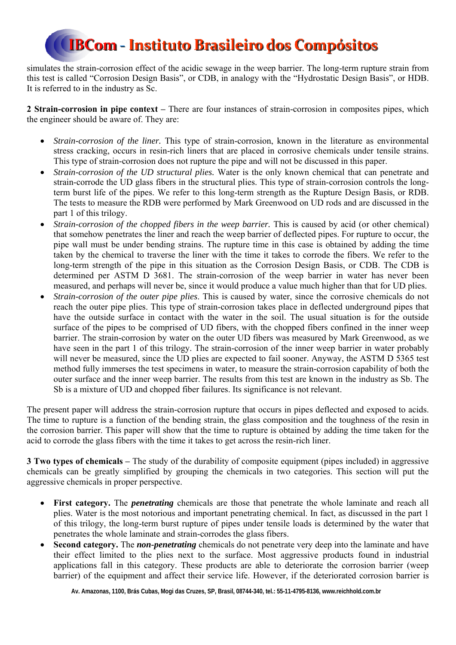simulates the strain-corrosion effect of the acidic sewage in the weep barrier. The long-term rupture strain from this test is called "Corrosion Design Basis", or CDB, in analogy with the "Hydrostatic Design Basis", or HDB. It is referred to in the industry as Sc.

**2 Strain-corrosion in pipe context –** There are four instances of strain-corrosion in composites pipes, which the engineer should be aware of. They are:

- *Strain-corrosion of the liner.* This type of strain-corrosion, known in the literature as environmental stress cracking, occurs in resin-rich liners that are placed in corrosive chemicals under tensile strains. This type of strain-corrosion does not rupture the pipe and will not be discussed in this paper.
- *Strain-corrosion of the UD structural plies.* Water is the only known chemical that can penetrate and strain-corrode the UD glass fibers in the structural plies. This type of strain-corrosion controls the longterm burst life of the pipes. We refer to this long-term strength as the Rupture Design Basis, or RDB. The tests to measure the RDB were performed by Mark Greenwood on UD rods and are discussed in the part 1 of this trilogy.
- *Strain-corrosion of the chopped fibers in the weep barrier.* This is caused by acid (or other chemical) that somehow penetrates the liner and reach the weep barrier of deflected pipes. For rupture to occur, the pipe wall must be under bending strains. The rupture time in this case is obtained by adding the time taken by the chemical to traverse the liner with the time it takes to corrode the fibers. We refer to the long-term strength of the pipe in this situation as the Corrosion Design Basis, or CDB. The CDB is determined per ASTM D 3681. The strain-corrosion of the weep barrier in water has never been measured, and perhaps will never be, since it would produce a value much higher than that for UD plies.
- *Strain-corrosion of the outer pipe plies*. This is caused by water, since the corrosive chemicals do not reach the outer pipe plies. This type of strain-corrosion takes place in deflected underground pipes that have the outside surface in contact with the water in the soil. The usual situation is for the outside surface of the pipes to be comprised of UD fibers, with the chopped fibers confined in the inner weep barrier. The strain-corrosion by water on the outer UD fibers was measured by Mark Greenwood, as we have seen in the part 1 of this trilogy. The strain-corrosion of the inner weep barrier in water probably will never be measured, since the UD plies are expected to fail sooner. Anyway, the ASTM D 5365 test method fully immerses the test specimens in water, to measure the strain-corrosion capability of both the outer surface and the inner weep barrier. The results from this test are known in the industry as Sb. The Sb is a mixture of UD and chopped fiber failures. Its significance is not relevant.

The present paper will address the strain-corrosion rupture that occurs in pipes deflected and exposed to acids. The time to rupture is a function of the bending strain, the glass composition and the toughness of the resin in the corrosion barrier. This paper will show that the time to rupture is obtained by adding the time taken for the acid to corrode the glass fibers with the time it takes to get across the resin-rich liner.

**3 Two types of chemicals –** The study of the durability of composite equipment (pipes included) in aggressive chemicals can be greatly simplified by grouping the chemicals in two categories. This section will put the aggressive chemicals in proper perspective.

- **First category.** The *penetrating* chemicals are those that penetrate the whole laminate and reach all plies. Water is the most notorious and important penetrating chemical. In fact, as discussed in the part 1 of this trilogy, the long-term burst rupture of pipes under tensile loads is determined by the water that penetrates the whole laminate and strain-corrodes the glass fibers.
- **Second category.** The *non-penetrating* chemicals do not penetrate very deep into the laminate and have their effect limited to the plies next to the surface. Most aggressive products found in industrial applications fall in this category. These products are able to deteriorate the corrosion barrier (weep barrier) of the equipment and affect their service life. However, if the deteriorated corrosion barrier is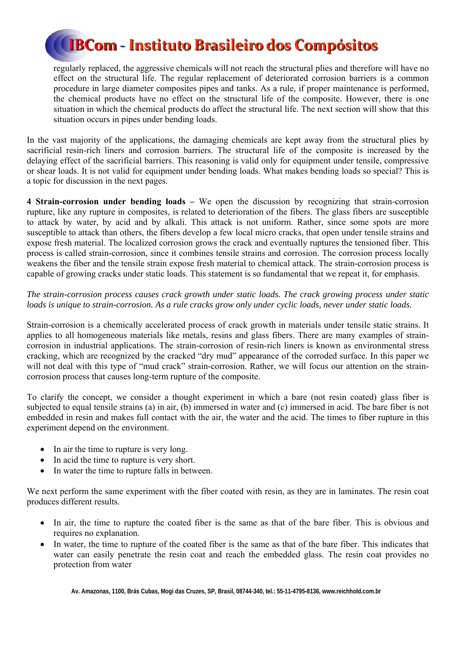

regularly replaced, the aggressive chemicals will not reach the structural plies and therefore will have no effect on the structural life. The regular replacement of deteriorated corrosion barriers is a common procedure in large diameter composites pipes and tanks. As a rule, if proper maintenance is performed, the chemical products have no effect on the structural life of the composite. However, there is one situation in which the chemical products do affect the structural life. The next section will show that this situation occurs in pipes under bending loads.

In the vast majority of the applications, the damaging chemicals are kept away from the structural plies by sacrificial resin-rich liners and corrosion barriers. The structural life of the composite is increased by the delaying effect of the sacrificial barriers. This reasoning is valid only for equipment under tensile, compressive or shear loads. It is not valid for equipment under bending loads. What makes bending loads so special? This is a topic for discussion in the next pages.

**4 Strain-corrosion under bending loads –** We open the discussion by recognizing that strain-corrosion rupture, like any rupture in composites, is related to deterioration of the fibers. The glass fibers are susceptible to attack by water, by acid and by alkali. This attack is not uniform. Rather, since some spots are more susceptible to attack than others, the fibers develop a few local micro cracks, that open under tensile strains and expose fresh material. The localized corrosion grows the crack and eventually ruptures the tensioned fiber. This process is called strain-corrosion, since it combines tensile strains and corrosion. The corrosion process locally weakens the fiber and the tensile strain expose fresh material to chemical attack. The strain-corrosion process is capable of growing cracks under static loads. This statement is so fundamental that we repeat it, for emphasis.

### *The strain-corrosion process causes crack growth under static loads. The crack growing process under static loads is unique to strain-corrosion. As a rule cracks grow only under cyclic loads, never under static loads.*

Strain-corrosion is a chemically accelerated process of crack growth in materials under tensile static strains. It applies to all homogeneous materials like metals, resins and glass fibers. There are many examples of straincorrosion in industrial applications. The strain-corrosion of resin-rich liners is known as environmental stress cracking, which are recognized by the cracked "dry mud" appearance of the corroded surface. In this paper we will not deal with this type of "mud crack" strain-corrosion. Rather, we will focus our attention on the straincorrosion process that causes long-term rupture of the composite.

To clarify the concept, we consider a thought experiment in which a bare (not resin coated) glass fiber is subjected to equal tensile strains (a) in air, (b) immersed in water and (c) immersed in acid. The bare fiber is not embedded in resin and makes full contact with the air, the water and the acid. The times to fiber rupture in this experiment depend on the environment.

- In air the time to rupture is very long.
- In acid the time to rupture is very short.
- In water the time to rupture falls in between.

We next perform the same experiment with the fiber coated with resin, as they are in laminates. The resin coat produces different results.

- In air, the time to rupture the coated fiber is the same as that of the bare fiber. This is obvious and requires no explanation.
- In water, the time to rupture of the coated fiber is the same as that of the bare fiber. This indicates that water can easily penetrate the resin coat and reach the embedded glass. The resin coat provides no protection from water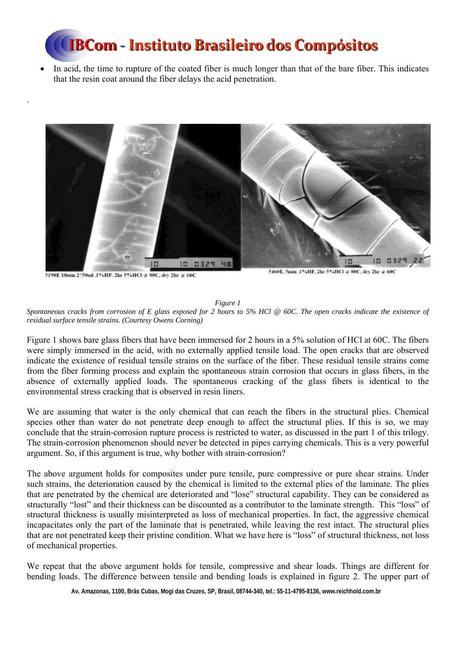In acid, the time to rupture of the coated fiber is much longer than that of the bare fiber. This indicates that the resin coat around the fiber delays the acid penetration.



5190E 10min 2\*50ml .1%HF, 2hr 5%HCl @ 80C, dry 2hr @ 60C

.

5460E, 5min .1%HF, 2hr 5%HCl @ 80C, dry 2hr @ 60C

#### *Figure 1*

*Spontaneous cracks from corrosion of E glass exposed for 2 hours to 5% HCl @ 60C. The open cracks indicate the existence of residual surface tensile strains. (Courtesy Owens Corning)* 

Figure 1 shows bare glass fibers that have been immersed for 2 hours in a 5% solution of HCl at 60C. The fibers were simply immersed in the acid, with no externally applied tensile load. The open cracks that are observed indicate the existence of residual tensile strains on the surface of the fiber. These residual tensile strains come from the fiber forming process and explain the spontaneous strain corrosion that occurs in glass fibers, in the absence of externally applied loads. The spontaneous cracking of the glass fibers is identical to the environmental stress cracking that is observed in resin liners.

We are assuming that water is the only chemical that can reach the fibers in the structural plies. Chemical species other than water do not penetrate deep enough to affect the structural plies. If this is so, we may conclude that the strain-corrosion rupture process is restricted to water, as discussed in the part 1 of this trilogy. The strain-corrosion phenomenon should never be detected in pipes carrying chemicals. This is a very powerful argument. So, if this argument is true, why bother with strain-corrosion?

The above argument holds for composites under pure tensile, pure compressive or pure shear strains. Under such strains, the deterioration caused by the chemical is limited to the external plies of the laminate. The plies that are penetrated by the chemical are deteriorated and "lose" structural capability. They can be considered as structurally "lost" and their thickness can be discounted as a contributor to the laminate strength. This "loss" of structural thickness is usually misinterpreted as loss of mechanical properties. In fact, the aggressive chemical incapacitates only the part of the laminate that is penetrated, while leaving the rest intact. The structural plies that are not penetrated keep their pristine condition. What we have here is "loss" of structural thickness, not loss of mechanical properties.

We repeat that the above argument holds for tensile, compressive and shear loads. Things are different for bending loads. The difference between tensile and bending loads is explained in figure 2. The upper part of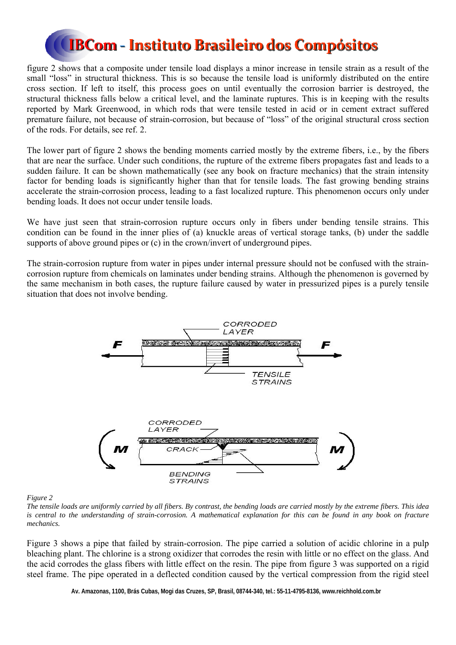figure 2 shows that a composite under tensile load displays a minor increase in tensile strain as a result of the small "loss" in structural thickness. This is so because the tensile load is uniformly distributed on the entire cross section. If left to itself, this process goes on until eventually the corrosion barrier is destroyed, the structural thickness falls below a critical level, and the laminate ruptures. This is in keeping with the results reported by Mark Greenwood, in which rods that were tensile tested in acid or in cement extract suffered premature failure, not because of strain-corrosion, but because of "loss" of the original structural cross section of the rods. For details, see ref. 2.

The lower part of figure 2 shows the bending moments carried mostly by the extreme fibers, i.e., by the fibers that are near the surface. Under such conditions, the rupture of the extreme fibers propagates fast and leads to a sudden failure. It can be shown mathematically (see any book on fracture mechanics) that the strain intensity factor for bending loads is significantly higher than that for tensile loads. The fast growing bending strains accelerate the strain-corrosion process, leading to a fast localized rupture. This phenomenon occurs only under bending loads. It does not occur under tensile loads.

We have just seen that strain-corrosion rupture occurs only in fibers under bending tensile strains. This condition can be found in the inner plies of (a) knuckle areas of vertical storage tanks, (b) under the saddle supports of above ground pipes or (c) in the crown/invert of underground pipes.

The strain-corrosion rupture from water in pipes under internal pressure should not be confused with the straincorrosion rupture from chemicals on laminates under bending strains. Although the phenomenon is governed by the same mechanism in both cases, the rupture failure caused by water in pressurized pipes is a purely tensile situation that does not involve bending.



*Figure 2* 

*The tensile loads are uniformly carried by all fibers. By contrast, the bending loads are carried mostly by the extreme fibers. This idea*  is central to the understanding of strain-corrosion. A mathematical explanation for this can be found in any book on fracture *mechanics.* 

Figure 3 shows a pipe that failed by strain-corrosion. The pipe carried a solution of acidic chlorine in a pulp bleaching plant. The chlorine is a strong oxidizer that corrodes the resin with little or no effect on the glass. And the acid corrodes the glass fibers with little effect on the resin. The pipe from figure 3 was supported on a rigid steel frame. The pipe operated in a deflected condition caused by the vertical compression from the rigid steel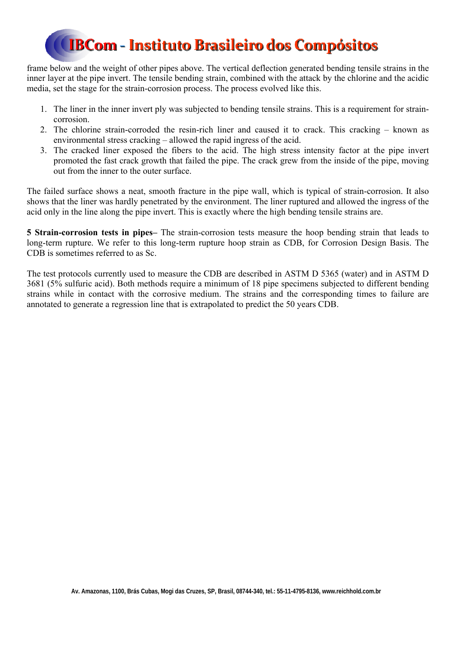frame below and the weight of other pipes above. The vertical deflection generated bending tensile strains in the inner layer at the pipe invert. The tensile bending strain, combined with the attack by the chlorine and the acidic media, set the stage for the strain-corrosion process. The process evolved like this.

- 1. The liner in the inner invert ply was subjected to bending tensile strains. This is a requirement for straincorrosion.
- 2. The chlorine strain-corroded the resin-rich liner and caused it to crack. This cracking known as environmental stress cracking – allowed the rapid ingress of the acid.
- 3. The cracked liner exposed the fibers to the acid. The high stress intensity factor at the pipe invert promoted the fast crack growth that failed the pipe. The crack grew from the inside of the pipe, moving out from the inner to the outer surface.

The failed surface shows a neat, smooth fracture in the pipe wall, which is typical of strain-corrosion. It also shows that the liner was hardly penetrated by the environment. The liner ruptured and allowed the ingress of the acid only in the line along the pipe invert. This is exactly where the high bending tensile strains are.

**5 Strain-corrosion tests in pipes–** The strain-corrosion tests measure the hoop bending strain that leads to long-term rupture. We refer to this long-term rupture hoop strain as CDB, for Corrosion Design Basis. The CDB is sometimes referred to as Sc.

The test protocols currently used to measure the CDB are described in ASTM D 5365 (water) and in ASTM D 3681 (5% sulfuric acid). Both methods require a minimum of 18 pipe specimens subjected to different bending strains while in contact with the corrosive medium. The strains and the corresponding times to failure are annotated to generate a regression line that is extrapolated to predict the 50 years CDB.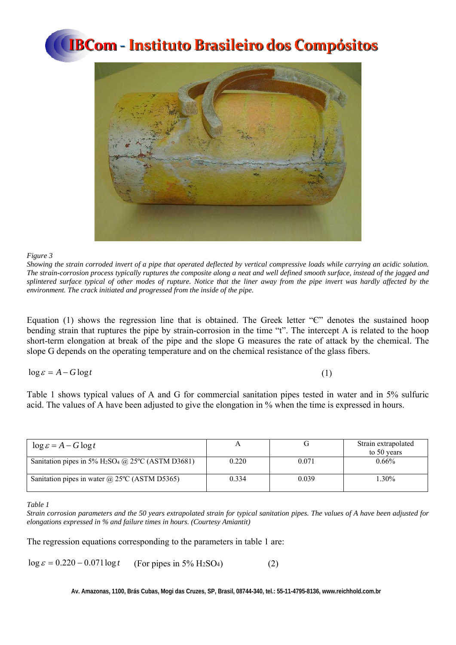

#### *Figure 3*

*Showing the strain corroded invert of a pipe that operated deflected by vertical compressive loads while carrying an acidic solution. The strain-corrosion process typically ruptures the composite along a neat and well defined smooth surface, instead of the jagged and splintered surface typical of other modes of rupture. Notice that the liner away from the pipe invert was hardly affected by the environment. The crack initiated and progressed from the inside of the pipe.* 

Equation (1) shows the regression line that is obtained. The Greek letter "Є" denotes the sustained hoop bending strain that ruptures the pipe by strain-corrosion in the time "t". The intercept A is related to the hoop short-term elongation at break of the pipe and the slope G measures the rate of attack by the chemical. The slope G depends on the operating temperature and on the chemical resistance of the glass fibers.

 $\log \varepsilon = A - G \log t$  (1)

Table 1 shows typical values of A and G for commercial sanitation pipes tested in water and in 5% sulfuric acid. The values of A have been adjusted to give the elongation in % when the time is expressed in hours.

| $\log \varepsilon = A - G \log t$                    |       |       | Strain extrapolated<br>to 50 years |
|------------------------------------------------------|-------|-------|------------------------------------|
| Sanitation pipes in 5% $H_2SO_4$ @ 25°C (ASTM D3681) | 0.220 | 0.071 | $0.66\%$                           |
| Sanitation pipes in water $\omega$ 25°C (ASTM D5365) | 0.334 | 0.039 | 1.30%                              |

*Table 1* 

The regression equations corresponding to the parameters in table 1 are:

 $\log \varepsilon = 0.220 - 0.071 \log t$  (For pipes in 5% H<sub>2</sub>SO<sub>4</sub>) (2)

*Strain corrosion parameters and the 50 years extrapolated strain for typical sanitation pipes. The values of A have been adjusted for elongations expressed in % and failure times in hours. (Courtesy Amiantit)*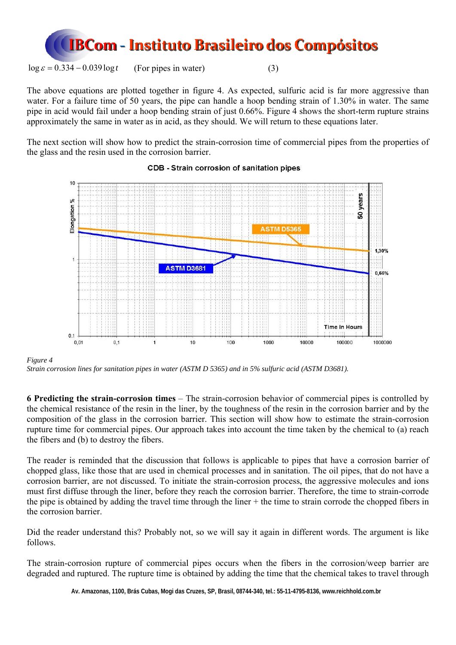

 $\log \varepsilon = 0.334 - 0.039 \log t$  (For pipes in water) (3)

The above equations are plotted together in figure 4. As expected, sulfuric acid is far more aggressive than water. For a failure time of 50 years, the pipe can handle a hoop bending strain of 1.30% in water. The same pipe in acid would fail under a hoop bending strain of just 0.66%. Figure 4 shows the short-term rupture strains approximately the same in water as in acid, as they should. We will return to these equations later.

The next section will show how to predict the strain-corrosion time of commercial pipes from the properties of the glass and the resin used in the corrosion barrier.



### CDB - Strain corrosion of sanitation pipes

*Figure 4* 

*Strain corrosion lines for sanitation pipes in water (ASTM D 5365) and in 5% sulfuric acid (ASTM D3681).*

**6 Predicting the strain-corrosion times** – The strain-corrosion behavior of commercial pipes is controlled by the chemical resistance of the resin in the liner, by the toughness of the resin in the corrosion barrier and by the composition of the glass in the corrosion barrier. This section will show how to estimate the strain-corrosion rupture time for commercial pipes. Our approach takes into account the time taken by the chemical to (a) reach the fibers and (b) to destroy the fibers.

The reader is reminded that the discussion that follows is applicable to pipes that have a corrosion barrier of chopped glass, like those that are used in chemical processes and in sanitation. The oil pipes, that do not have a corrosion barrier, are not discussed. To initiate the strain-corrosion process, the aggressive molecules and ions must first diffuse through the liner, before they reach the corrosion barrier. Therefore, the time to strain-corrode the pipe is obtained by adding the travel time through the liner + the time to strain corrode the chopped fibers in the corrosion barrier.

Did the reader understand this? Probably not, so we will say it again in different words. The argument is like follows.

The strain-corrosion rupture of commercial pipes occurs when the fibers in the corrosion/weep barrier are degraded and ruptured. The rupture time is obtained by adding the time that the chemical takes to travel through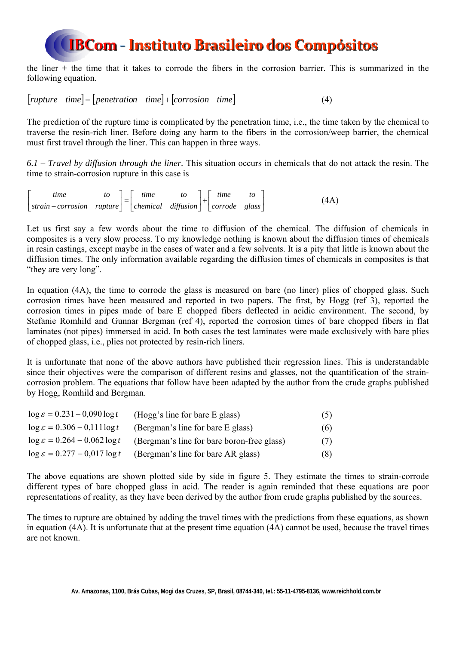the liner + the time that it takes to corrode the fibers in the corrosion barrier. This is summarized in the following equation.

 $[rupture-time] = [penetration-time] + [corrosion time]$  (4)

The prediction of the rupture time is complicated by the penetration time, i.e., the time taken by the chemical to traverse the resin-rich liner. Before doing any harm to the fibers in the corrosion/weep barrier, the chemical must first travel through the liner. This can happen in three ways.

*6.1 – Travel by diffusion through the liner.* This situation occurs in chemicals that do not attack the resin. The time to strain-corrosion rupture in this case is

 $\begin{bmatrix} time & to \\ strain-corrosion & rupture \end{bmatrix} = \begin{bmatrix} time & to \\ chemical & diffusion \end{bmatrix} + \begin{bmatrix} time & to \\ correct & glass \end{bmatrix}$  $\overline{a}$  $-corrosion$  *rupture* | | chemical diffusion | | corrode glass *time to chemical diffusion time to*  $\text{strain}-\text{corrosion}$   $\text{rupture} = \begin{bmatrix} \text{time} & \text{to} \\ \text{chemical} & \text{diffusion} \end{bmatrix} + \begin{bmatrix} \text{time} & \text{to} \\ \text{corrode} & \text{glass} \end{bmatrix}$  (4A)

Let us first say a few words about the time to diffusion of the chemical. The diffusion of chemicals in composites is a very slow process. To my knowledge nothing is known about the diffusion times of chemicals in resin castings, except maybe in the cases of water and a few solvents. It is a pity that little is known about the diffusion times. The only information available regarding the diffusion times of chemicals in composites is that "they are very long".

In equation (4A), the time to corrode the glass is measured on bare (no liner) plies of chopped glass. Such corrosion times have been measured and reported in two papers. The first, by Hogg (ref 3), reported the corrosion times in pipes made of bare E chopped fibers deflected in acidic environment. The second, by Stefanie Romhild and Gunnar Bergman (ref 4), reported the corrosion times of bare chopped fibers in flat laminates (not pipes) immersed in acid. In both cases the test laminates were made exclusively with bare plies of chopped glass, i.e., plies not protected by resin-rich liners.

It is unfortunate that none of the above authors have published their regression lines. This is understandable since their objectives were the comparison of different resins and glasses, not the quantification of the straincorrosion problem. The equations that follow have been adapted by the author from the crude graphs published by Hogg, Romhild and Bergman.

| $\log \varepsilon = 0.231 - 0.090 \log t$ | (Hogg's line for bare E glass)             | (5) |
|-------------------------------------------|--------------------------------------------|-----|
| $\log \varepsilon = 0.306 - 0.111 \log t$ | (Bergman's line for bare E glass)          | (6) |
| $\log \varepsilon = 0.264 - 0.062 \log t$ | (Bergman's line for bare boron-free glass) | (7) |
| $\log \varepsilon = 0.277 - 0.017 \log t$ | (Bergman's line for bare AR glass)         | (8) |

The above equations are shown plotted side by side in figure 5. They estimate the times to strain-corrode different types of bare chopped glass in acid. The reader is again reminded that these equations are poor representations of reality, as they have been derived by the author from crude graphs published by the sources.

The times to rupture are obtained by adding the travel times with the predictions from these equations, as shown in equation (4A). It is unfortunate that at the present time equation (4A) cannot be used, because the travel times are not known.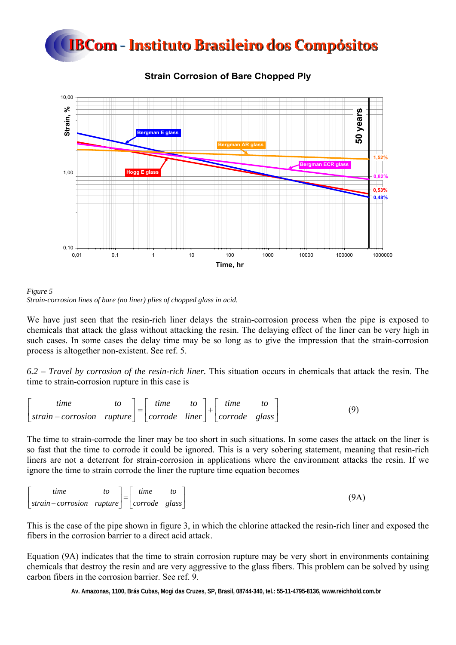



### **Strain Corrosion of Bare Chopped Ply**



We have just seen that the resin-rich liner delays the strain-corrosion process when the pipe is exposed to chemicals that attack the glass without attacking the resin. The delaying effect of the liner can be very high in such cases. In some cases the delay time may be so long as to give the impression that the strain-corrosion process is altogether non-existent. See ref. 5.

*6.2 – Travel by corrosion of the resin-rich liner.* This situation occurs in chemicals that attack the resin. The time to strain-corrosion rupture in this case is

$$
\begin{bmatrix} time & to \strut top \strut \text{string} \end{bmatrix} = \begin{bmatrix} time & to \corrode \text{string} \end{bmatrix} + \begin{bmatrix} time & to \corrode \text{mass} \end{bmatrix}
$$
 (9)

The time to strain-corrode the liner may be too short in such situations. In some cases the attack on the liner is so fast that the time to corrode it could be ignored. This is a very sobering statement, meaning that resin-rich liners are not a deterrent for strain-corrosion in applications where the environment attacks the resin. If we ignore the time to strain corrode the liner the rupture time equation becomes

| tıme                                                                     | to | time | (9A, |
|--------------------------------------------------------------------------|----|------|------|
| $\vert$ strain – corrosion rupture $\vert$ $\vert$ corrode glass $\vert$ |    |      |      |

This is the case of the pipe shown in figure 3, in which the chlorine attacked the resin-rich liner and exposed the fibers in the corrosion barrier to a direct acid attack.

Equation (9A) indicates that the time to strain corrosion rupture may be very short in environments containing chemicals that destroy the resin and are very aggressive to the glass fibers. This problem can be solved by using carbon fibers in the corrosion barrier. See ref. 9.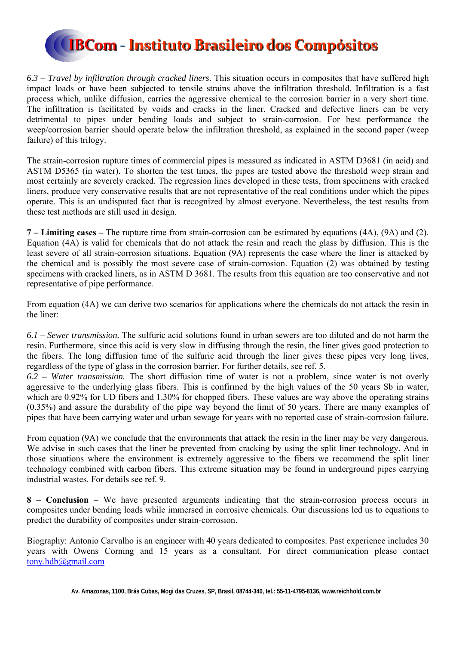

*6.3 – Travel by infiltration through cracked liners*. This situation occurs in composites that have suffered high impact loads or have been subjected to tensile strains above the infiltration threshold. Infiltration is a fast process which, unlike diffusion, carries the aggressive chemical to the corrosion barrier in a very short time. The infiltration is facilitated by voids and cracks in the liner. Cracked and defective liners can be very detrimental to pipes under bending loads and subject to strain-corrosion. For best performance the weep/corrosion barrier should operate below the infiltration threshold, as explained in the second paper (weep failure) of this trilogy.

The strain-corrosion rupture times of commercial pipes is measured as indicated in ASTM D3681 (in acid) and ASTM D5365 (in water). To shorten the test times, the pipes are tested above the threshold weep strain and most certainly are severely cracked. The regression lines developed in these tests, from specimens with cracked liners, produce very conservative results that are not representative of the real conditions under which the pipes operate. This is an undisputed fact that is recognized by almost everyone. Nevertheless, the test results from these test methods are still used in design.

**7 – Limiting cases –** The rupture time from strain-corrosion can be estimated by equations (4A), (9A) and (2). Equation (4A) is valid for chemicals that do not attack the resin and reach the glass by diffusion. This is the least severe of all strain-corrosion situations. Equation (9A) represents the case where the liner is attacked by the chemical and is possibly the most severe case of strain-corrosion. Equation (2) was obtained by testing specimens with cracked liners, as in ASTM D 3681. The results from this equation are too conservative and not representative of pipe performance.

From equation (4A) we can derive two scenarios for applications where the chemicals do not attack the resin in the liner:

*6.1 – Sewer transmission.* The sulfuric acid solutions found in urban sewers are too diluted and do not harm the resin. Furthermore, since this acid is very slow in diffusing through the resin, the liner gives good protection to the fibers. The long diffusion time of the sulfuric acid through the liner gives these pipes very long lives, regardless of the type of glass in the corrosion barrier. For further details, see ref. 5.

*6.2 – Water transmission.* The short diffusion time of water is not a problem, since water is not overly aggressive to the underlying glass fibers. This is confirmed by the high values of the 50 years Sb in water, which are 0.92% for UD fibers and 1.30% for chopped fibers. These values are way above the operating strains (0.35%) and assure the durability of the pipe way beyond the limit of 50 years. There are many examples of pipes that have been carrying water and urban sewage for years with no reported case of strain-corrosion failure.

From equation (9A) we conclude that the environments that attack the resin in the liner may be very dangerous. We advise in such cases that the liner be prevented from cracking by using the split liner technology. And in those situations where the environment is extremely aggressive to the fibers we recommend the split liner technology combined with carbon fibers. This extreme situation may be found in underground pipes carrying industrial wastes. For details see ref. 9.

**8 – Conclusion –** We have presented arguments indicating that the strain-corrosion process occurs in composites under bending loads while immersed in corrosive chemicals. Our discussions led us to equations to predict the durability of composites under strain-corrosion.

Biography: Antonio Carvalho is an engineer with 40 years dedicated to composites. Past experience includes 30 years with Owens Corning and 15 years as a consultant. For direct communication please contact tony.hdb@gmail.com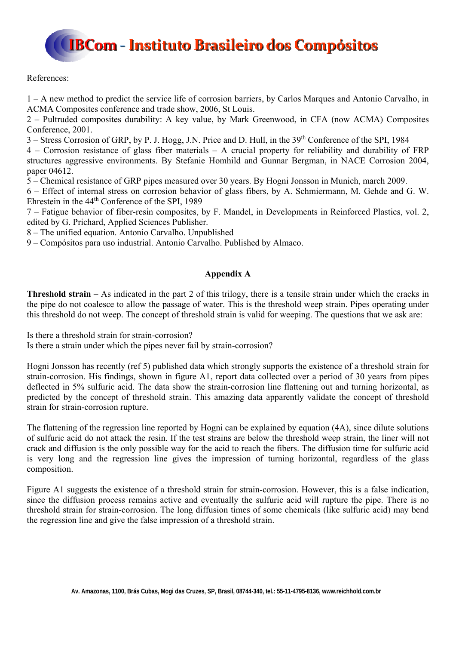References:

1 – A new method to predict the service life of corrosion barriers, by Carlos Marques and Antonio Carvalho, in ACMA Composites conference and trade show, 2006, St Louis.

2 – Pultruded composites durability: A key value, by Mark Greenwood, in CFA (now ACMA) Composites Conference, 2001.

3 – Stress Corrosion of GRP, by P. J. Hogg, J.N. Price and D. Hull, in the 39<sup>th</sup> Conference of the SPI, 1984

4 – Corrosion resistance of glass fiber materials – A crucial property for reliability and durability of FRP structures aggressive environments. By Stefanie Homhild and Gunnar Bergman, in NACE Corrosion 2004, paper 04612.

5 – Chemical resistance of GRP pipes measured over 30 years. By Hogni Jonsson in Munich, march 2009.

6 – Effect of internal stress on corrosion behavior of glass fibers, by A. Schmiermann, M. Gehde and G. W. Ehrestein in the 44th Conference of the SPI, 1989

7 – Fatigue behavior of fiber-resin composites, by F. Mandel, in Developments in Reinforced Plastics, vol. 2, edited by G. Prichard, Applied Sciences Publisher.

8 – The unified equation. Antonio Carvalho. Unpublished

9 – Compósitos para uso industrial. Antonio Carvalho. Published by Almaco.

### **Appendix A**

**Threshold strain –** As indicated in the part 2 of this trilogy, there is a tensile strain under which the cracks in the pipe do not coalesce to allow the passage of water. This is the threshold weep strain. Pipes operating under this threshold do not weep. The concept of threshold strain is valid for weeping. The questions that we ask are:

Is there a threshold strain for strain-corrosion? Is there a strain under which the pipes never fail by strain-corrosion?

Hogni Jonsson has recently (ref 5) published data which strongly supports the existence of a threshold strain for strain-corrosion. His findings, shown in figure A1, report data collected over a period of 30 years from pipes deflected in 5% sulfuric acid. The data show the strain-corrosion line flattening out and turning horizontal, as predicted by the concept of threshold strain. This amazing data apparently validate the concept of threshold strain for strain-corrosion rupture.

The flattening of the regression line reported by Hogni can be explained by equation (4A), since dilute solutions of sulfuric acid do not attack the resin. If the test strains are below the threshold weep strain, the liner will not crack and diffusion is the only possible way for the acid to reach the fibers. The diffusion time for sulfuric acid is very long and the regression line gives the impression of turning horizontal, regardless of the glass composition.

Figure A1 suggests the existence of a threshold strain for strain-corrosion. However, this is a false indication, since the diffusion process remains active and eventually the sulfuric acid will rupture the pipe. There is no threshold strain for strain-corrosion. The long diffusion times of some chemicals (like sulfuric acid) may bend the regression line and give the false impression of a threshold strain.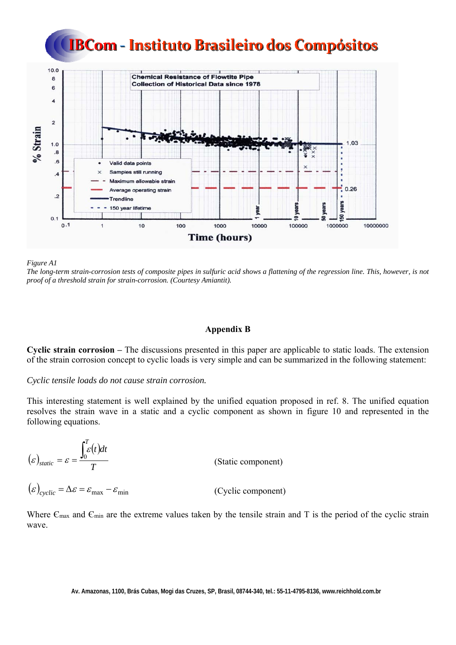



*Figure A1* 

*The long-term strain-corrosion tests of composite pipes in sulfuric acid shows a flattening of the regression line. This, however, is not proof of a threshold strain for strain-corrosion. (Courtesy Amiantit).* 

#### **Appendix B**

**Cyclic strain corrosion –** The discussions presented in this paper are applicable to static loads. The extension of the strain corrosion concept to cyclic loads is very simple and can be summarized in the following statement:

#### *Cyclic tensile loads do not cause strain corrosion.*

This interesting statement is well explained by the unified equation proposed in ref. 8. The unified equation resolves the strain wave in a static and a cyclic component as shown in figure 10 and represented in the following equations.

 $(\varepsilon)_{static} = \varepsilon = \frac{\int_{0} \varepsilon(t)}{2}$ *T*  $\int_{\mathcal{E}}^{T} (t) dt$  $_{static} = \varepsilon = \frac{\int_0^L \varepsilon}{\sqrt{\frac{2}{L}} \varepsilon}$  $\mathcal{E}_{static} = \mathcal{E} = \frac{V}{T}$  (Static component)

 $(\varepsilon)_{cyclic} = \Delta \varepsilon = \varepsilon_{max} - \varepsilon_{min}$  (Cyclic component)

Where  $\epsilon_{\text{max}}$  and  $\epsilon_{\text{min}}$  are the extreme values taken by the tensile strain and T is the period of the cyclic strain wave.